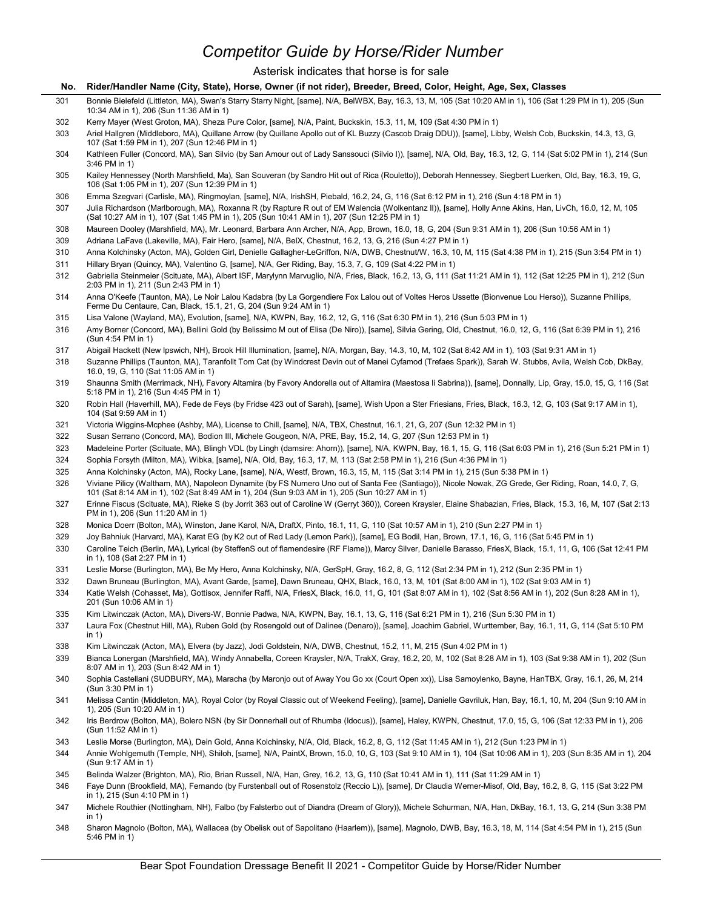# Competitor Guide by Horse/Rider Number

### Asterisk indicates that horse is for sale

- No. Rider/Handler Name (City, State), Horse, Owner (if not rider), Breeder, Breed, Color, Height, Age, Sex, Classes<br>No. Rider/Handler Name (City, State), Horse, Owner (if not rider), Breeder, Breed, Color, Height, Age, Sex Bonnie Bielefeld (Littleton, MA), Swan's Starry Starry Night, [same], N/A, BelWBX, Bay, 16.3, 13, M, 105 (Sat 10:20 AM in 1), 106 (Sat 1:29 PM in 1), 205 (Sun 10:34 AM in 1), 206 (Sun 11:36 AM in 1)
- Kerry Mayer (West Groton, MA), Sheza Pure Color, [same], N/A, Paint, Buckskin, 15.3, 11, M, 109 (Sat 4:30 PM in 1)
- Ariel Hallgren (Middleboro, MA), Quillane Arrow (by Quillane Apollo out of KL Buzzy (Cascob Draig DDU)), [same], Libby, Welsh Cob, Buckskin, 14.3, 13, G, 107 (Sat 1:59 PM in 1), 207 (Sun 12:46 PM in 1)
- Kathleen Fuller (Concord, MA), San Silvio (by San Amour out of Lady Sanssouci (Silvio I)), [same], N/A, Old, Bay, 16.3, 12, G, 114 (Sat 5:02 PM in 1), 214 (Sun 3:46 PM in 1)
- Kailey Hennessey (North Marshfield, Ma), San Souveran (by Sandro Hit out of Rica (Rouletto)), Deborah Hennessey, Siegbert Luerken, Old, Bay, 16.3, 19, G, 106 (Sat 1:05 PM in 1), 207 (Sun 12:39 PM in 1)
- Emma Szegvari (Carlisle, MA), Ringmoylan, [same], N/A, IrishSH, Piebald, 16.2, 24, G, 116 (Sat 6:12 PM in 1), 216 (Sun 4:18 PM in 1)
- Julia Richardson (Marlborough, MA), Roxanna R (by Rapture R out of EM Walencia (Wolkentanz II)), [same], Holly Anne Akins, Han, LivCh, 16.0, 12, M, 105 (Sat 10:27 AM in 1), 107 (Sat 1:45 PM in 1), 205 (Sun 10:41 AM in 1), 207 (Sun 12:25 PM in 1)
- Maureen Dooley (Marshfield, MA), Mr. Leonard, Barbara Ann Archer, N/A, App, Brown, 16.0, 18, G, 204 (Sun 9:31 AM in 1), 206 (Sun 10:56 AM in 1)
- Adriana LaFave (Lakeville, MA), Fair Hero, [same], N/A, BelX, Chestnut, 16.2, 13, G, 216 (Sun 4:27 PM in 1)
- Anna Kolchinsky (Acton, MA), Golden Girl, Denielle Gallagher-LeGriffon, N/A, DWB, Chestnut/W, 16.3, 10, M, 115 (Sat 4:38 PM in 1), 215 (Sun 3:54 PM in 1)
- Hillary Bryan (Quincy, MA), Valentino G, [same], N/A, Ger Riding, Bay, 15.3, 7, G, 109 (Sat 4:22 PM in 1)
- Gabriella Steinmeier (Scituate, MA), Albert ISF, Marylynn Marvuglio, N/A, Fries, Black, 16.2, 13, G, 111 (Sat 11:21 AM in 1), 112 (Sat 12:25 PM in 1), 212 (Sun 2:03 PM in 1), 211 (Sun 2:43 PM in 1)
- Anna O'Keefe (Taunton, MA), Le Noir Lalou Kadabra (by La Gorgendiere Fox Lalou out of Voltes Heros Ussette (Bionvenue Lou Herso)), Suzanne Phillips, Ferme Du Centaure, Can, Black, 15.1, 21, G, 204 (Sun 9:24 AM in 1)
- Lisa Valone (Wayland, MA), Evolution, [same], N/A, KWPN, Bay, 16.2, 12, G, 116 (Sat 6:30 PM in 1), 216 (Sun 5:03 PM in 1)
- Amy Borner (Concord, MA), Bellini Gold (by Belissimo M out of Elisa (De Niro)), [same], Silvia Gering, Old, Chestnut, 16.0, 12, G, 116 (Sat 6:39 PM in 1), 216 (Sun 4:54 PM in 1)
- Abigail Hackett (New Ipswich, NH), Brook Hill Illumination, [same], N/A, Morgan, Bay, 14.3, 10, M, 102 (Sat 8:42 AM in 1), 103 (Sat 9:31 AM in 1)
- Suzanne Phillips (Taunton, MA), Taranfollt Tom Cat (by Windcrest Devin out of Manei Cyfamod (Trefaes Spark)), Sarah W. Stubbs, Avila, Welsh Cob, DkBay, 16.0, 19, G, 110 (Sat 11:05 AM in 1)
- Shaunna Smith (Merrimack, NH), Favory Altamira (by Favory Andorella out of Altamira (Maestosa li Sabrina)), [same], Donnally, Lip, Gray, 15.0, 15, G, 116 (Sat 5:18 PM in 1), 216 (Sun 4:45 PM in 1)
- Robin Hall (Haverhill, MA), Fede de Feys (by Fridse 423 out of Sarah), [same], Wish Upon a Ster Friesians, Fries, Black, 16.3, 12, G, 103 (Sat 9:17 AM in 1), 104 (Sat 9:59 AM in 1)
- Victoria Wiggins-Mcphee (Ashby, MA), License to Chill, [same], N/A, TBX, Chestnut, 16.1, 21, G, 207 (Sun 12:32 PM in 1)
- Susan Serrano (Concord, MA), Bodion III, Michele Gougeon, N/A, PRE, Bay, 15.2, 14, G, 207 (Sun 12:53 PM in 1)
- Madeleine Porter (Scituate, MA), Blingh VDL (by Lingh (damsire: Ahorn)), [same], N/A, KWPN, Bay, 16.1, 15, G, 116 (Sat 6:03 PM in 1), 216 (Sun 5:21 PM in 1)
- Sophia Forsyth (Milton, MA), Wibka, [same], N/A, Old, Bay, 16.3, 17, M, 113 (Sat 2:58 PM in 1), 216 (Sun 4:36 PM in 1)
- Anna Kolchinsky (Acton, MA), Rocky Lane, [same], N/A, Westf, Brown, 16.3, 15, M, 115 (Sat 3:14 PM in 1), 215 (Sun 5:38 PM in 1)
- Viviane Pilicy (Waltham, MA), Napoleon Dynamite (by FS Numero Uno out of Santa Fee (Santiago)), Nicole Nowak, ZG Grede, Ger Riding, Roan, 14.0, 7, G, 101 (Sat 8:14 AM in 1), 102 (Sat 8:49 AM in 1), 204 (Sun 9:03 AM in 1), 205 (Sun 10:27 AM in 1)
- Erinne Fiscus (Scituate, MA), Rieke S (by Jorrit 363 out of Caroline W (Gerryt 360)), Coreen Kraysler, Elaine Shabazian, Fries, Black, 15.3, 16, M, 107 (Sat 2:13 PM in 1), 206 (Sun 11:20 AM in 1)
- Monica Doerr (Bolton, MA), Winston, Jane Karol, N/A, DraftX, Pinto, 16.1, 11, G, 110 (Sat 10:57 AM in 1), 210 (Sun 2:27 PM in 1)
- Joy Bahniuk (Harvard, MA), Karat EG (by K2 out of Red Lady (Lemon Park)), [same], EG Bodil, Han, Brown, 17.1, 16, G, 116 (Sat 5:45 PM in 1)
- Caroline Teich (Berlin, MA), Lyrical (by SteffenS out of flamendesire (RF Flame)), Marcy Silver, Danielle Barasso, FriesX, Black, 15.1, 11, G, 106 (Sat 12:41 PM in 1), 108 (Sat 2:27 PM in 1)
- Leslie Morse (Burlington, MA), Be My Hero, Anna Kolchinsky, N/A, GerSpH, Gray, 16.2, 8, G, 112 (Sat 2:34 PM in 1), 212 (Sun 2:35 PM in 1)
- Dawn Bruneau (Burlington, MA), Avant Garde, [same], Dawn Bruneau, QHX, Black, 16.0, 13, M, 101 (Sat 8:00 AM in 1), 102 (Sat 9:03 AM in 1)
- Katie Welsh (Cohasset, Ma), Gottisox, Jennifer Raffi, N/A, FriesX, Black, 16.0, 11, G, 101 (Sat 8:07 AM in 1), 102 (Sat 8:56 AM in 1), 202 (Sun 8:28 AM in 1), 201 (Sun 10:06 AM in 1)
- Kim Litwinczak (Acton, MA), Divers-W, Bonnie Padwa, N/A, KWPN, Bay, 16.1, 13, G, 116 (Sat 6:21 PM in 1), 216 (Sun 5:30 PM in 1)
- Laura Fox (Chestnut Hill, MA), Ruben Gold (by Rosengold out of Dalinee (Denaro)), [same], Joachim Gabriel, Wurttember, Bay, 16.1, 11, G, 114 (Sat 5:10 PM  $\mathsf{in} \ 1$ )
- Kim Litwinczak (Acton, MA), Elvera (by Jazz), Jodi Goldstein, N/A, DWB, Chestnut, 15.2, 11, M, 215 (Sun 4:02 PM in 1)
- Bianca Lonergan (Marshfield, MA), Windy Annabella, Coreen Kraysler, N/A, TrakX, Gray, 16.2, 20, M, 102 (Sat 8:28 AM in 1), 103 (Sat 9:38 AM in 1), 202 (Sun 8:07 AM in 1), 203 (Sun 8:42 AM in 1)
- Sophia Castellani (SUDBURY, MA), Maracha (by Maronjo out of Away You Go xx (Court Open xx)), Lisa Samoylenko, Bayne, HanTBX, Gray, 16.1, 26, M, 214 (Sun 3:30 PM in 1)
- Melissa Cantin (Middleton, MA), Royal Color (by Royal Classic out of Weekend Feeling), [same], Danielle Gavriluk, Han, Bay, 16.1, 10, M, 204 (Sun 9:10 AM in 1), 205 (Sun 10:20 AM in 1)
- Iris Berdrow (Bolton, MA), Bolero NSN (by Sir Donnerhall out of Rhumba (Idocus)), [same], Haley, KWPN, Chestnut, 17.0, 15, G, 106 (Sat 12:33 PM in 1), 206 (Sun 11:52 AM in 1)
- Leslie Morse (Burlington, MA), Dein Gold, Anna Kolchinsky, N/A, Old, Black, 16.2, 8, G, 112 (Sat 11:45 AM in 1), 212 (Sun 1:23 PM in 1)
- Annie Wohlgemuth (Temple, NH), Shiloh, [same], N/A, PaintX, Brown, 15.0, 10, G, 103 (Sat 9:10 AM in 1), 104 (Sat 10:06 AM in 1), 203 (Sun 8:35 AM in 1), 204 (Sun 9:17 AM in 1)
- Belinda Walzer (Brighton, MA), Rio, Brian Russell, N/A, Han, Grey, 16.2, 13, G, 110 (Sat 10:41 AM in 1), 111 (Sat 11:29 AM in 1)
- Faye Dunn (Brookfield, MA), Fernando (by Furstenball out of Rosenstolz (Reccio L)), [same], Dr Claudia Werner-Misof, Old, Bay, 16.2, 8, G, 115 (Sat 3:22 PM in 1), 215 (Sun 4:10 PM in 1)
- Michele Routhier (Nottingham, NH), Falbo (by Falsterbo out of Diandra (Dream of Glory)), Michele Schurman, N/A, Han, DkBay, 16.1, 13, G, 214 (Sun 3:38 PM in 1) in the same state  $\sim$
- Sharon Magnolo (Bolton, MA), Wallacea (by Obelisk out of Sapolitano (Haarlem)), [same], Magnolo, DWB, Bay, 16.3, 18, M, 114 (Sat 4:54 PM in 1), 215 (Sun 5:46 PM in 1)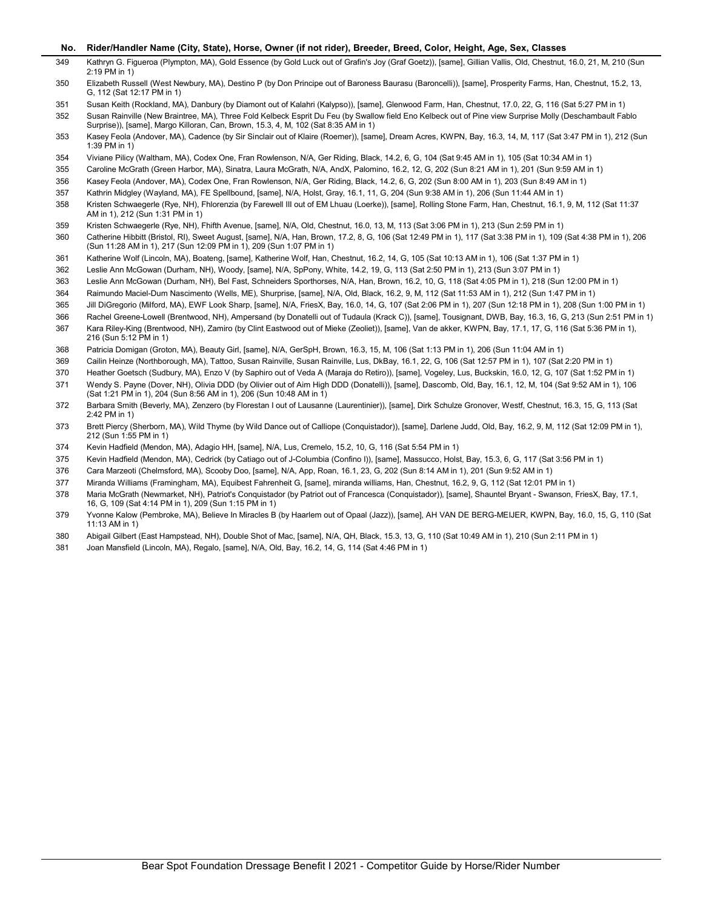- No. Rider/Handler Name (City, State), Horse, Owner (if not rider), Breeder, Breed, Color, Height, Age, Sex, Classes<br>Kathryn G. Figueroa (Plympton, MA), Gold Essence (by Gold Luck out of Grafin's Joy (Graf Goetz)), [same], Kathryn G. Figueroa (Plympton, MA), Gold Essence (by Gold Luck out of Grafin's Joy (Graf Goetz)), [same], Gillian Vallis, Old, Chestnut, 16.0, 21, M, 210 (Sun 2:19 PM in 1)
- Elizabeth Russell (West Newbury, MA), Destino P (by Don Principe out of Baroness Baurasu (Baroncelli)), [same], Prosperity Farms, Han, Chestnut, 15.2, 13, G, 112 (Sat 12:17 PM in 1)
- Susan Keith (Rockland, MA), Danbury (by Diamont out of Kalahri (Kalypso)), [same], Glenwood Farm, Han, Chestnut, 17.0, 22, G, 116 (Sat 5:27 PM in 1)

 Susan Rainville (New Braintree, MA), Three Fold Kelbeck Esprit Du Feu (by Swallow field Eno Kelbeck out of Pine view Surprise Molly (Deschambault Fablo Surprise)), [same], Margo Killoran, Can, Brown, 15.3, 4, M, 102 (Sat 8:35 AM in 1)

- Kasey Feola (Andover, MA), Cadence (by Sir Sinclair out of Klaire (Roemer)), [same], Dream Acres, KWPN, Bay, 16.3, 14, M, 117 (Sat 3:47 PM in 1), 212 (Sun 1:39 PM in 1)
- Viviane Pilicy (Waltham, MA), Codex One, Fran Rowlenson, N/A, Ger Riding, Black, 14.2, 6, G, 104 (Sat 9:45 AM in 1), 105 (Sat 10:34 AM in 1)
- Caroline McGrath (Green Harbor, MA), Sinatra, Laura McGrath, N/A, AndX, Palomino, 16.2, 12, G, 202 (Sun 8:21 AM in 1), 201 (Sun 9:59 AM in 1)
- Kasey Feola (Andover, MA), Codex One, Fran Rowlenson, N/A, Ger Riding, Black, 14.2, 6, G, 202 (Sun 8:00 AM in 1), 203 (Sun 8:49 AM in 1)
- Kathrin Midgley (Wayland, MA), FE Spellbound, [same], N/A, Holst, Gray, 16.1, 11, G, 204 (Sun 9:38 AM in 1), 206 (Sun 11:44 AM in 1)
- Kristen Schwaegerle (Rye, NH), Fhlorenzia (by Farewell III out of EM Lhuau (Loerke)), [same], Rolling Stone Farm, Han, Chestnut, 16.1, 9, M, 112 (Sat 11:37 AM in 1), 212 (Sun 1:31 PM in 1)
- Kristen Schwaegerle (Rye, NH), Fhifth Avenue, [same], N/A, Old, Chestnut, 16.0, 13, M, 113 (Sat 3:06 PM in 1), 213 (Sun 2:59 PM in 1)
- Catherine Hibbitt (Bristol, RI), Sweet August, [same], N/A, Han, Brown, 17.2, 8, G, 106 (Sat 12:49 PM in 1), 117 (Sat 3:38 PM in 1), 109 (Sat 4:38 PM in 1), 206 (Sun 11:28 AM in 1), 217 (Sun 12:09 PM in 1), 209 (Sun 1:07 PM in 1)
- Katherine Wolf (Lincoln, MA), Boateng, [same], Katherine Wolf, Han, Chestnut, 16.2, 14, G, 105 (Sat 10:13 AM in 1), 106 (Sat 1:37 PM in 1)
- Leslie Ann McGowan (Durham, NH), Woody, [same], N/A, SpPony, White, 14.2, 19, G, 113 (Sat 2:50 PM in 1), 213 (Sun 3:07 PM in 1)
- Leslie Ann McGowan (Durham, NH), Bel Fast, Schneiders Sporthorses, N/A, Han, Brown, 16.2, 10, G, 118 (Sat 4:05 PM in 1), 218 (Sun 12:00 PM in 1)
- Raimundo Maciel-Dum Nascimento (Wells, ME), Shurprise, [same], N/A, Old, Black, 16.2, 9, M, 112 (Sat 11:53 AM in 1), 212 (Sun 1:47 PM in 1)
- Jill DiGregorio (Milford, MA), EWF Look Sharp, [same], N/A, FriesX, Bay, 16.0, 14, G, 107 (Sat 2:06 PM in 1), 207 (Sun 12:18 PM in 1), 208 (Sun 1:00 PM in 1)
- Rachel Greene-Lowell (Brentwood, NH), Ampersand (by Donatelli out of Tudaula (Krack C)), [same], Tousignant, DWB, Bay, 16.3, 16, G, 213 (Sun 2:51 PM in 1)
- Kara Riley-King (Brentwood, NH), Zamiro (by Clint Eastwood out of Mieke (Zeoliet)), [same], Van de akker, KWPN, Bay, 17.1, 17, G, 116 (Sat 5:36 PM in 1), 216 (Sun 5:12 PM in 1)
- Patricia Domigan (Groton, MA), Beauty Girl, [same], N/A, GerSpH, Brown, 16.3, 15, M, 106 (Sat 1:13 PM in 1), 206 (Sun 11:04 AM in 1)
- Cailin Heinze (Northborough, MA), Tattoo, Susan Rainville, Susan Rainville, Lus, DkBay, 16.1, 22, G, 106 (Sat 12:57 PM in 1), 107 (Sat 2:20 PM in 1)
- Heather Goetsch (Sudbury, MA), Enzo V (by Saphiro out of Veda A (Maraja do Retiro)), [same], Vogeley, Lus, Buckskin, 16.0, 12, G, 107 (Sat 1:52 PM in 1)
- Wendy S. Payne (Dover, NH), Olivia DDD (by Olivier out of Aim High DDD (Donatelli)), [same], Dascomb, Old, Bay, 16.1, 12, M, 104 (Sat 9:52 AM in 1), 106 (Sat 1:21 PM in 1), 204 (Sun 8:56 AM in 1), 206 (Sun 10:48 AM in 1)
- Barbara Smith (Beverly, MA), Zenzero (by Florestan I out of Lausanne (Laurentinier)), [same], Dirk Schulze Gronover, Westf, Chestnut, 16.3, 15, G, 113 (Sat 2:42 PM in 1)
- Brett Piercy (Sherborn, MA), Wild Thyme (by Wild Dance out of Calliope (Conquistador)), [same], Darlene Judd, Old, Bay, 16.2, 9, M, 112 (Sat 12:09 PM in 1), 212 (Sun 1:55 PM in 1)
- Kevin Hadfield (Mendon, MA), Adagio HH, [same], N/A, Lus, Cremelo, 15.2, 10, G, 116 (Sat 5:54 PM in 1)
- Kevin Hadfield (Mendon, MA), Cedrick (by Catiago out of J-Columbia (Confino I)), [same], Massucco, Holst, Bay, 15.3, 6, G, 117 (Sat 3:56 PM in 1)
- Cara Marzeoti (Chelmsford, MA), Scooby Doo, [same], N/A, App, Roan, 16.1, 23, G, 202 (Sun 8:14 AM in 1), 201 (Sun 9:52 AM in 1)
- Miranda Williams (Framingham, MA), Equibest Fahrenheit G, [same], miranda williams, Han, Chestnut, 16.2, 9, G, 112 (Sat 12:01 PM in 1)
- Maria McGrath (Newmarket, NH), Patriot's Conquistador (by Patriot out of Francesca (Conquistador)), [same], Shauntel Bryant Swanson, FriesX, Bay, 17.1, 16, G, 109 (Sat 4:14 PM in 1), 209 (Sun 1:15 PM in 1)
- Yvonne Kalow (Pembroke, MA), Believe In Miracles B (by Haarlem out of Opaal (Jazz)), [same], AH VAN DE BERG-MEIJER, KWPN, Bay, 16.0, 15, G, 110 (Sat 11:13 AM in 1)
- Abigail Gilbert (East Hampstead, NH), Double Shot of Mac, [same], N/A, QH, Black, 15.3, 13, G, 110 (Sat 10:49 AM in 1), 210 (Sun 2:11 PM in 1)
- Joan Mansfield (Lincoln, MA), Regalo, [same], N/A, Old, Bay, 16.2, 14, G, 114 (Sat 4:46 PM in 1)